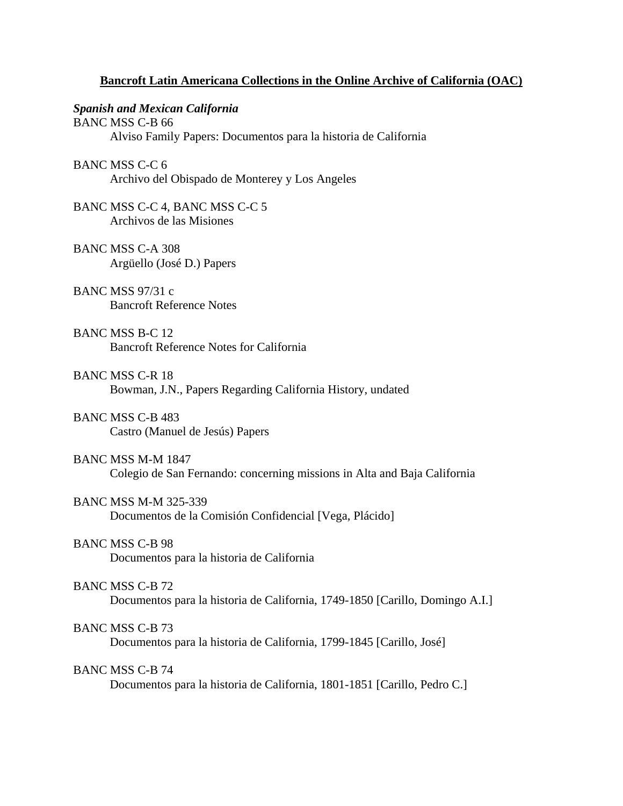# **Bancroft Latin Americana Collections in the Online Archive of California (OAC)**

### *Spanish and Mexican California*

BANC MSS C-B 66 Alviso Family Papers: Documentos para la historia de California BANC MSS C-C 6 Archivo del Obispado de Monterey y Los Angeles BANC MSS C-C 4, BANC MSS C-C 5 Archivos de las Misiones BANC MSS C-A 308 Argüello (José D.) Papers BANC MSS 97/31 c Bancroft Reference Notes BANC MSS B-C 12 Bancroft Reference Notes for California BANC MSS C-R 18 Bowman, J.N., Papers Regarding California History, undated BANC MSS C-B 483 Castro (Manuel de Jesús) Papers BANC MSS M-M 1847 Colegio de San Fernando: concerning missions in Alta and Baja California BANC MSS M-M 325-339 Documentos de la Comisión Confidencial [Vega, Plácido] BANC MSS C-B 98 Documentos para la historia de California BANC MSS C-B 72

Documentos para la historia de California, 1749-1850 [Carillo, Domingo A.I.]

# BANC MSS C-B 73

Documentos para la historia de California, 1799-1845 [Carillo, José]

# BANC MSS C-B 74

Documentos para la historia de California, 1801-1851 [Carillo, Pedro C.]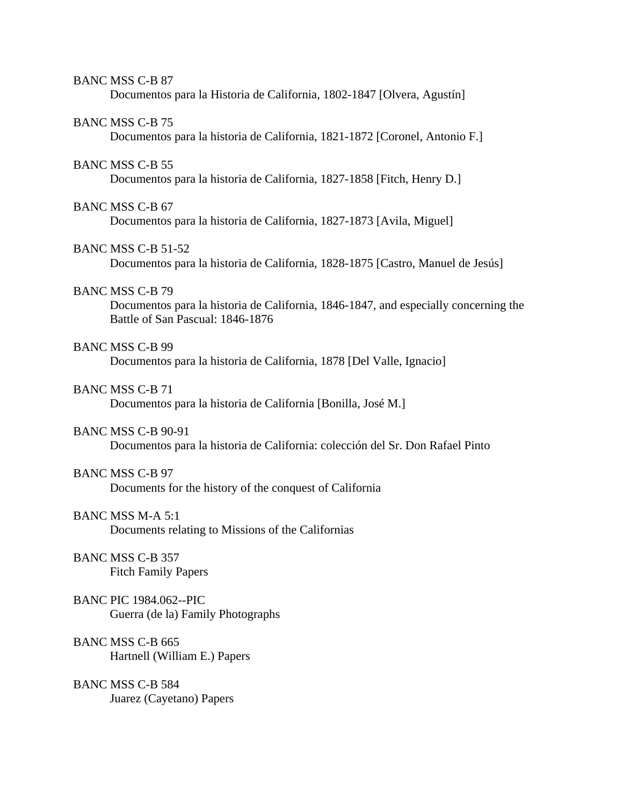#### BANC MSS C-B 87

Documentos para la Historia de California, 1802-1847 [Olvera, Agustín]

#### BANC MSS C-B 75

Documentos para la historia de California, 1821-1872 [Coronel, Antonio F.]

## BANC MSS C-B 55

Documentos para la historia de California, 1827-1858 [Fitch, Henry D.]

### BANC MSS C-B 67

Documentos para la historia de California, 1827-1873 [Avila, Miguel]

# BANC MSS C-B 51-52

Documentos para la historia de California, 1828-1875 [Castro, Manuel de Jesús]

## BANC MSS C-B 79

 Documentos para la historia de California, 1846-1847, and especially concerning the Battle of San Pascual: 1846-1876

# BANC MSS C-B 99

Documentos para la historia de California, 1878 [Del Valle, Ignacio]

#### BANC MSS C-B 71

Documentos para la historia de California [Bonilla, José M.]

### BANC MSS C-B 90-91

Documentos para la historia de California: colección del Sr. Don Rafael Pinto

# BANC MSS C-B 97

Documents for the history of the conquest of California

# BANC MSS M-A 5:1

Documents relating to Missions of the Californias

## BANC MSS C-B 357 Fitch Family Papers

## BANC PIC 1984.062--PIC Guerra (de la) Family Photographs

# BANC MSS C-B 665 Hartnell (William E.) Papers

# BANC MSS C-B 584 Juarez (Cayetano) Papers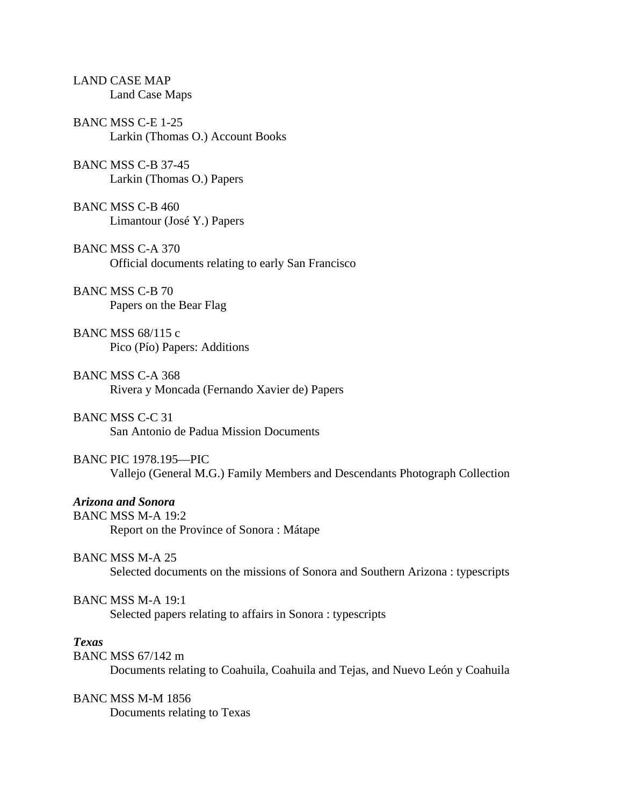|              | <b>LAND CASE MAP</b><br><b>Land Case Maps</b>                                                               |
|--------------|-------------------------------------------------------------------------------------------------------------|
|              | BANC MSS C-E 1-25<br>Larkin (Thomas O.) Account Books                                                       |
|              | <b>BANC MSS C-B 37-45</b><br>Larkin (Thomas O.) Papers                                                      |
|              | BANC MSS C-B 460<br>Limantour (José Y.) Papers                                                              |
|              | <b>BANC MSS C-A 370</b><br>Official documents relating to early San Francisco                               |
|              | <b>BANC MSS C-B 70</b><br>Papers on the Bear Flag                                                           |
|              | BANC MSS 68/115 c<br>Pico (Pío) Papers: Additions                                                           |
|              | <b>BANC MSS C-A 368</b><br>Rivera y Moncada (Fernando Xavier de) Papers                                     |
|              | <b>BANC MSS C-C 31</b><br>San Antonio de Padua Mission Documents                                            |
|              | <b>BANC PIC 1978.195-PIC</b><br>Vallejo (General M.G.) Family Members and Descendants Photograph Collection |
|              | <b>Arizona and Sonora</b><br><b>BANC MSS M-A 19:2</b><br>Report on the Province of Sonora: Mátape           |
|              | <b>BANC MSS M-A 25</b><br>Selected documents on the missions of Sonora and Southern Arizona : typescripts   |
|              | <b>BANC MSS M-A 19:1</b><br>Selected papers relating to affairs in Sonora : typescripts                     |
| <b>Texas</b> | BANC MSS 67/142 m<br>Documents relating to Coahuila, Coahuila and Tejas, and Nuevo León y Coahuila          |
|              | <b>BANC MSS M-M 1856</b><br>Documents relating to Texas                                                     |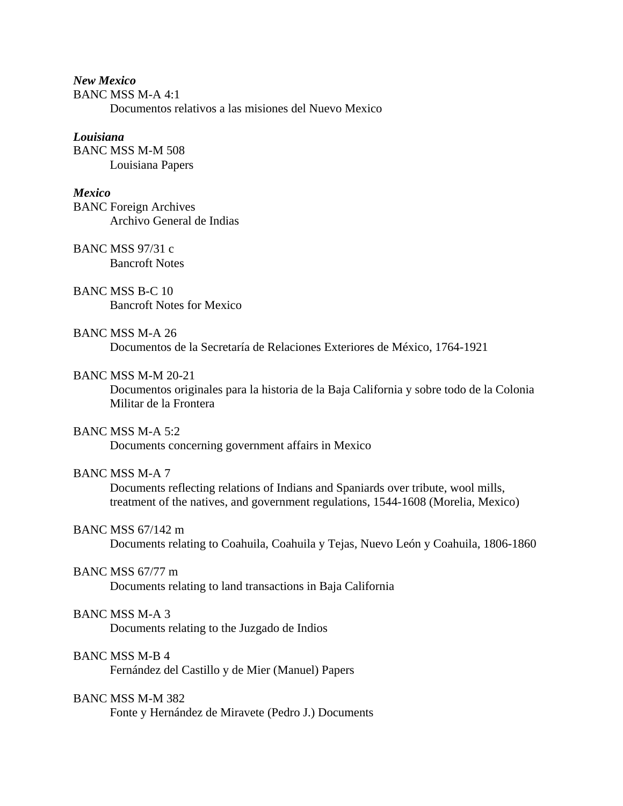*New Mexico*  BANC MSS M-A 4:1 Documentos relativos a las misiones del Nuevo Mexico

# *Louisiana*

BANC MSS M-M 508 Louisiana Papers

#### *Mexico*

BANC Foreign Archives Archivo General de Indias

BANC MSS 97/31 c Bancroft Notes

BANC MSS B-C 10 Bancroft Notes for Mexico

# BANC MSS M-A 26

Documentos de la Secretaría de Relaciones Exteriores de México, 1764-1921

# BANC MSS M-M 20-21

 Documentos originales para la historia de la Baja California y sobre todo de la Colonia Militar de la Frontera

### BANC MSS M-A 5:2

Documents concerning government affairs in Mexico

#### BANC MSS M-A 7

 Documents reflecting relations of Indians and Spaniards over tribute, wool mills, treatment of the natives, and government regulations, 1544-1608 (Morelia, Mexico)

#### BANC MSS 67/142 m

Documents relating to Coahuila, Coahuila y Tejas, Nuevo León y Coahuila, 1806-1860

#### BANC MSS 67/77 m

Documents relating to land transactions in Baja California

## BANC MSS M-A 3

Documents relating to the Juzgado de Indios

# BANC MSS M-B 4

Fernández del Castillo y de Mier (Manuel) Papers

# BANC MSS M-M 382

Fonte y Hernández de Miravete (Pedro J.) Documents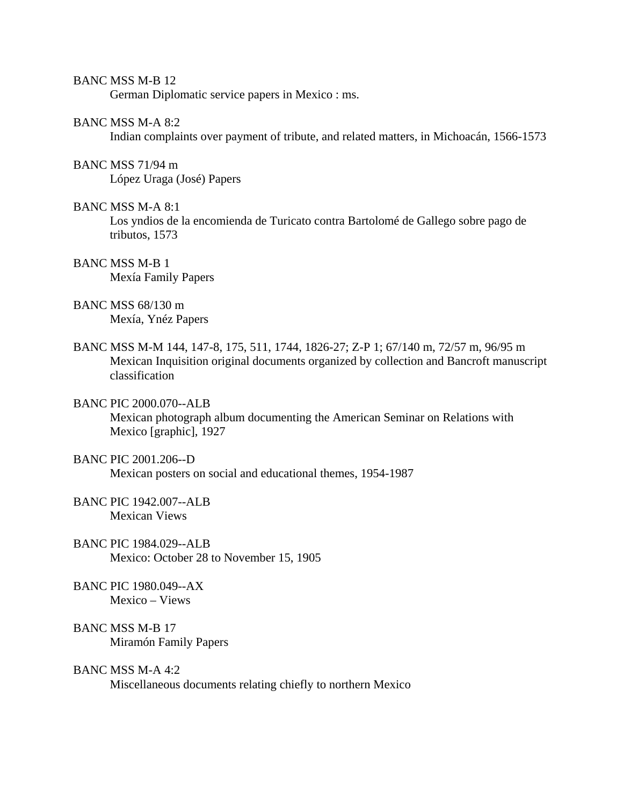#### BANC MSS M-B 12

German Diplomatic service papers in Mexico : ms.

### BANC MSS M-A 8:2

Indian complaints over payment of tribute, and related matters, in Michoacán, 1566-1573

#### BANC MSS 71/94 m

López Uraga (José) Papers

### BANC MSS M-A 8:1

 Los yndios de la encomienda de Turicato contra Bartolomé de Gallego sobre pago de tributos, 1573

# BANC MSS M-B 1 Mexía Family Papers

BANC MSS 68/130 m Mexía, Ynéz Papers

BANC MSS M-M 144, 147-8, 175, 511, 1744, 1826-27; Z-P 1; 67/140 m, 72/57 m, 96/95 m Mexican Inquisition original documents organized by collection and Bancroft manuscript classification

## BANC PIC 2000.070--ALB

 Mexican photograph album documenting the American Seminar on Relations with Mexico [graphic], 1927

#### BANC PIC 2001.206--D

Mexican posters on social and educational themes, 1954-1987

- BANC PIC 1942.007--ALB Mexican Views
- BANC PIC 1984.029--ALB Mexico: October 28 to November 15, 1905
- BANC PIC 1980.049--AX Mexico – Views
- BANC MSS M-B 17 Miramón Family Papers

#### BANC MSS M-A 4:2

Miscellaneous documents relating chiefly to northern Mexico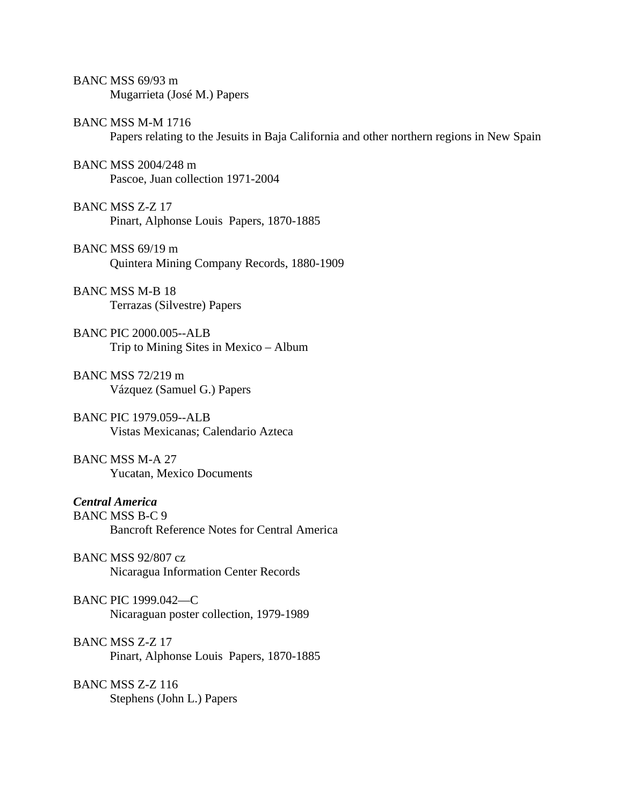| BANC MSS 69/93 m<br>Mugarrieta (José M.) Papers                                                                       |
|-----------------------------------------------------------------------------------------------------------------------|
| <b>BANC MSS M-M 1716</b><br>Papers relating to the Jesuits in Baja California and other northern regions in New Spain |
| BANC MSS 2004/248 m<br>Pascoe, Juan collection 1971-2004                                                              |
| <b>BANC MSS Z-Z 17</b><br>Pinart, Alphonse Louis Papers, 1870-1885                                                    |
| BANC MSS 69/19 m<br>Quintera Mining Company Records, 1880-1909                                                        |
| <b>BANC MSS M-B 18</b><br>Terrazas (Silvestre) Papers                                                                 |
| <b>BANC PIC 2000.005--ALB</b><br>Trip to Mining Sites in Mexico – Album                                               |
| BANC MSS 72/219 m<br>Vázquez (Samuel G.) Papers                                                                       |
| <b>BANC PIC 1979.059--ALB</b><br>Vistas Mexicanas; Calendario Azteca                                                  |
| <b>BANC MSS M-A 27</b><br><b>Yucatan, Mexico Documents</b>                                                            |
| <b>Central America</b><br><b>BANC MSS B-C 9</b><br><b>Bancroft Reference Notes for Central America</b>                |
| <b>BANC MSS 92/807 cz</b><br>Nicaragua Information Center Records                                                     |
| <b>BANC PIC 1999.042-C</b><br>Nicaraguan poster collection, 1979-1989                                                 |
| <b>BANC MSS Z-Z 17</b><br>Pinart, Alphonse Louis Papers, 1870-1885                                                    |
| BANC MSS Z-Z 116<br>Stephens (John L.) Papers                                                                         |
|                                                                                                                       |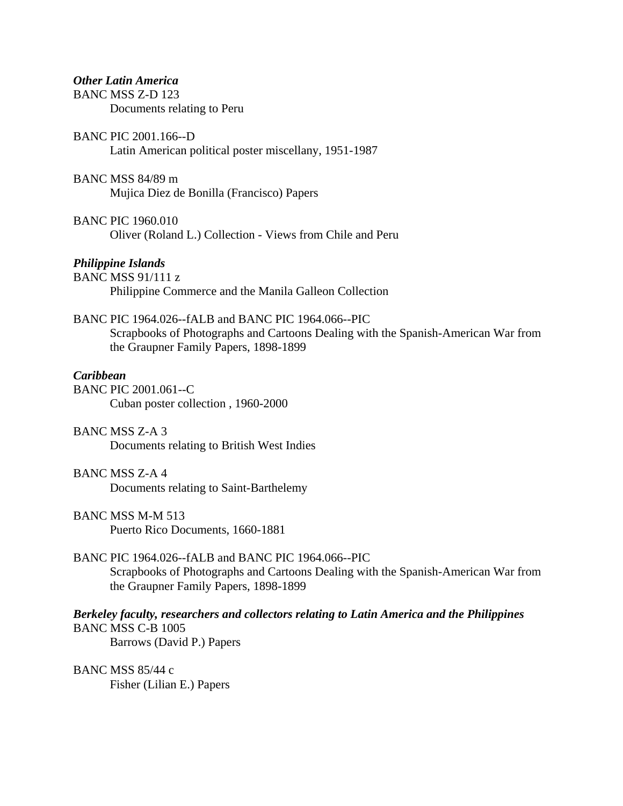*Other Latin America*  BANC MSS Z-D 123 Documents relating to Peru

BANC PIC 2001.166--D Latin American political poster miscellany, 1951-1987

BANC MSS 84/89 m Mujica Diez de Bonilla (Francisco) Papers

BANC PIC 1960.010 Oliver (Roland L.) Collection - Views from Chile and Peru

#### *Philippine Islands*

BANC MSS 91/111 z Philippine Commerce and the Manila Galleon Collection

BANC PIC 1964.026--fALB and BANC PIC 1964.066--PIC Scrapbooks of Photographs and Cartoons Dealing with the Spanish-American War from the Graupner Family Papers, 1898-1899

# *Caribbean*

BANC PIC 2001.061--C Cuban poster collection , 1960-2000

BANC MSS Z-A 3

Documents relating to British West Indies

# BANC MSS Z-A 4

Documents relating to Saint-Barthelemy

# BANC MSS M-M 513

Puerto Rico Documents, 1660-1881

# BANC PIC 1964.026--fALB and BANC PIC 1964.066--PIC

 Scrapbooks of Photographs and Cartoons Dealing with the Spanish-American War from the Graupner Family Papers, 1898-1899

*Berkeley faculty, researchers and collectors relating to Latin America and the Philippines*  BANC MSS C-B 1005 Barrows (David P.) Papers

BANC MSS 85/44 c Fisher (Lilian E.) Papers